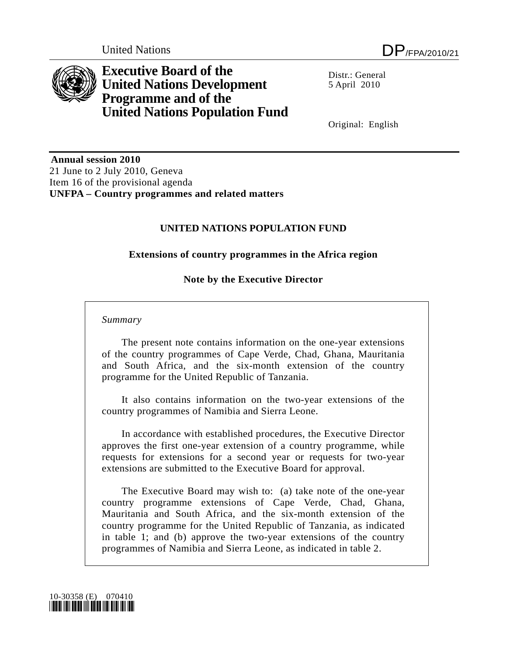

**Executive Board of the United Nations Development Programme and of the United Nations Population Fund** 

 $Distr: General$ 5 April 2010

Original: English

 **Annual session 2010**  21 June to 2 July 2010, Geneva Item 16 of the provisional agenda **UNFPA – Country programmes and related matters** 

## **UNITED NATIONS POPULATION FUND**

### **Extensions of country programmes in the Africa region**

### **Note by the Executive Director**

#### *Summary*

 The present note contains information on the one-year extensions of the country programmes of Cape Verde, Chad, Ghana, Mauritania and South Africa, and the six-month extension of the country programme for the United Republic of Tanzania.

 It also contains information on the two-year extensions of the country programmes of Namibia and Sierra Leone.

 In accordance with established procedures, the Executive Director approves the first one-year extension of a country programme, while requests for extensions for a second year or requests for two-year extensions are submitted to the Executive Board for approval.

 The Executive Board may wish to: (a) take note of the one-year country programme extensions of Cape Verde, Chad, Ghana, Mauritania and South Africa, and the six-month extension of the country programme for the United Republic of Tanzania, as indicated in table 1; and (b) approve the two-year extensions of the country programmes of Namibia and Sierra Leone, as indicated in table 2.

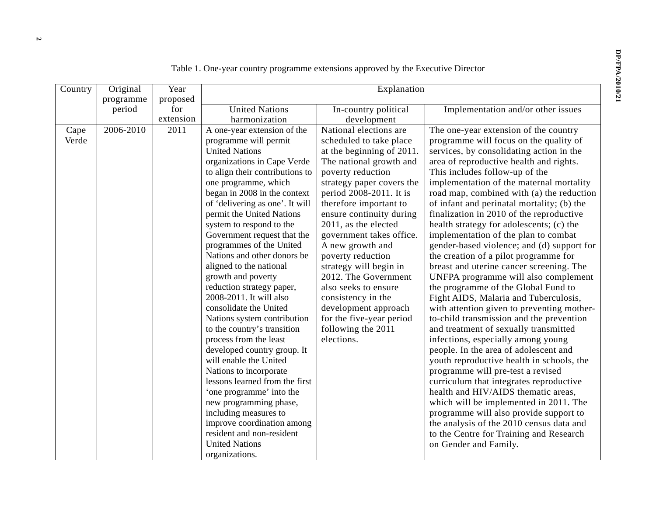| Country       | Original<br>programme | Year<br>proposed | Explanation                                                                                                                                                                                                                                                                                                                                                                                                                                                                                                                                                                                                                                                                                                                                                                                                                                                                                                                        |                                                                                                                                                                                                                                                                                                                                                                                                                                                                                                                                   |                                                                                                                                                                                                                                                                                                                                                                                                                                                                                                                                                                                                                                                                                                                                                                                                                                                                                                                                                                                                                                                                                                                                                                                                                                                                                                                                      |  |  |
|---------------|-----------------------|------------------|------------------------------------------------------------------------------------------------------------------------------------------------------------------------------------------------------------------------------------------------------------------------------------------------------------------------------------------------------------------------------------------------------------------------------------------------------------------------------------------------------------------------------------------------------------------------------------------------------------------------------------------------------------------------------------------------------------------------------------------------------------------------------------------------------------------------------------------------------------------------------------------------------------------------------------|-----------------------------------------------------------------------------------------------------------------------------------------------------------------------------------------------------------------------------------------------------------------------------------------------------------------------------------------------------------------------------------------------------------------------------------------------------------------------------------------------------------------------------------|--------------------------------------------------------------------------------------------------------------------------------------------------------------------------------------------------------------------------------------------------------------------------------------------------------------------------------------------------------------------------------------------------------------------------------------------------------------------------------------------------------------------------------------------------------------------------------------------------------------------------------------------------------------------------------------------------------------------------------------------------------------------------------------------------------------------------------------------------------------------------------------------------------------------------------------------------------------------------------------------------------------------------------------------------------------------------------------------------------------------------------------------------------------------------------------------------------------------------------------------------------------------------------------------------------------------------------------|--|--|
|               | period                | for              | <b>United Nations</b>                                                                                                                                                                                                                                                                                                                                                                                                                                                                                                                                                                                                                                                                                                                                                                                                                                                                                                              | In-country political                                                                                                                                                                                                                                                                                                                                                                                                                                                                                                              | Implementation and/or other issues                                                                                                                                                                                                                                                                                                                                                                                                                                                                                                                                                                                                                                                                                                                                                                                                                                                                                                                                                                                                                                                                                                                                                                                                                                                                                                   |  |  |
|               |                       | extension        | harmonization                                                                                                                                                                                                                                                                                                                                                                                                                                                                                                                                                                                                                                                                                                                                                                                                                                                                                                                      | development                                                                                                                                                                                                                                                                                                                                                                                                                                                                                                                       |                                                                                                                                                                                                                                                                                                                                                                                                                                                                                                                                                                                                                                                                                                                                                                                                                                                                                                                                                                                                                                                                                                                                                                                                                                                                                                                                      |  |  |
| Cape<br>Verde | 2006-2010             | 2011             | A one-year extension of the<br>programme will permit<br><b>United Nations</b><br>organizations in Cape Verde<br>to align their contributions to<br>one programme, which<br>began in 2008 in the context<br>of 'delivering as one'. It will<br>permit the United Nations<br>system to respond to the<br>Government request that the<br>programmes of the United<br>Nations and other donors be<br>aligned to the national<br>growth and poverty<br>reduction strategy paper,<br>2008-2011. It will also<br>consolidate the United<br>Nations system contribution<br>to the country's transition<br>process from the least<br>developed country group. It<br>will enable the United<br>Nations to incorporate<br>lessons learned from the first<br>'one programme' into the<br>new programming phase,<br>including measures to<br>improve coordination among<br>resident and non-resident<br><b>United Nations</b><br>organizations. | National elections are<br>scheduled to take place<br>at the beginning of 2011.<br>The national growth and<br>poverty reduction<br>strategy paper covers the<br>period 2008-2011. It is<br>therefore important to<br>ensure continuity during<br>2011, as the elected<br>government takes office.<br>A new growth and<br>poverty reduction<br>strategy will begin in<br>2012. The Government<br>also seeks to ensure<br>consistency in the<br>development approach<br>for the five-year period<br>following the 2011<br>elections. | The one-year extension of the country<br>programme will focus on the quality of<br>services, by consolidating action in the<br>area of reproductive health and rights.<br>This includes follow-up of the<br>implementation of the maternal mortality<br>road map, combined with (a) the reduction<br>of infant and perinatal mortality; (b) the<br>finalization in 2010 of the reproductive<br>health strategy for adolescents; (c) the<br>implementation of the plan to combat<br>gender-based violence; and (d) support for<br>the creation of a pilot programme for<br>breast and uterine cancer screening. The<br>UNFPA programme will also complement<br>the programme of the Global Fund to<br>Fight AIDS, Malaria and Tuberculosis,<br>with attention given to preventing mother-<br>to-child transmission and the prevention<br>and treatment of sexually transmitted<br>infections, especially among young<br>people. In the area of adolescent and<br>youth reproductive health in schools, the<br>programme will pre-test a revised<br>curriculum that integrates reproductive<br>health and HIV/AIDS thematic areas,<br>which will be implemented in 2011. The<br>programme will also provide support to<br>the analysis of the 2010 census data and<br>to the Centre for Training and Research<br>on Gender and Family. |  |  |

Table 1. One-year country programme extensions approved by the Executive Director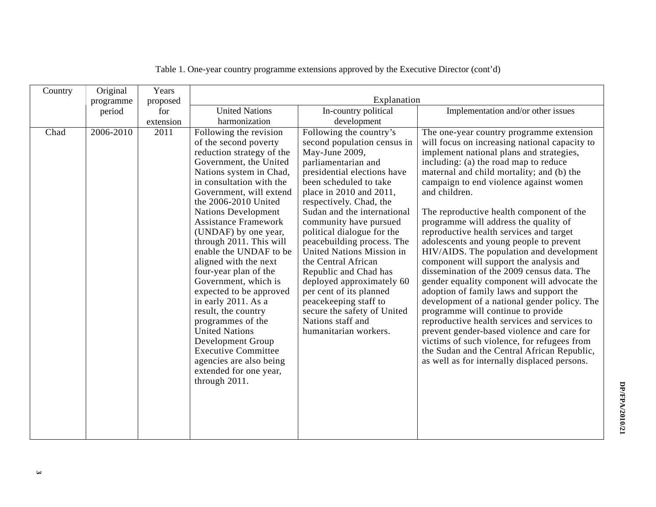| Country | Original  | Years     |                                                                                                                                                                                                                                                                                                                                                                                                                                                                                                                                                                                                                                                                                      |                                                                                                                                                                                                                                                                                                                                                                                                                                                                                                                                                                                |                                                                                                                                                                                                                                                                                                                                                                                                                                                                                                                                                                                                                                                                                                                                                                                                                                                                                                                                                                                                                                    |
|---------|-----------|-----------|--------------------------------------------------------------------------------------------------------------------------------------------------------------------------------------------------------------------------------------------------------------------------------------------------------------------------------------------------------------------------------------------------------------------------------------------------------------------------------------------------------------------------------------------------------------------------------------------------------------------------------------------------------------------------------------|--------------------------------------------------------------------------------------------------------------------------------------------------------------------------------------------------------------------------------------------------------------------------------------------------------------------------------------------------------------------------------------------------------------------------------------------------------------------------------------------------------------------------------------------------------------------------------|------------------------------------------------------------------------------------------------------------------------------------------------------------------------------------------------------------------------------------------------------------------------------------------------------------------------------------------------------------------------------------------------------------------------------------------------------------------------------------------------------------------------------------------------------------------------------------------------------------------------------------------------------------------------------------------------------------------------------------------------------------------------------------------------------------------------------------------------------------------------------------------------------------------------------------------------------------------------------------------------------------------------------------|
|         | programme | proposed  |                                                                                                                                                                                                                                                                                                                                                                                                                                                                                                                                                                                                                                                                                      | Explanation                                                                                                                                                                                                                                                                                                                                                                                                                                                                                                                                                                    |                                                                                                                                                                                                                                                                                                                                                                                                                                                                                                                                                                                                                                                                                                                                                                                                                                                                                                                                                                                                                                    |
|         | period    | for       | <b>United Nations</b>                                                                                                                                                                                                                                                                                                                                                                                                                                                                                                                                                                                                                                                                | In-country political                                                                                                                                                                                                                                                                                                                                                                                                                                                                                                                                                           | Implementation and/or other issues                                                                                                                                                                                                                                                                                                                                                                                                                                                                                                                                                                                                                                                                                                                                                                                                                                                                                                                                                                                                 |
|         |           | extension | harmonization                                                                                                                                                                                                                                                                                                                                                                                                                                                                                                                                                                                                                                                                        | development                                                                                                                                                                                                                                                                                                                                                                                                                                                                                                                                                                    |                                                                                                                                                                                                                                                                                                                                                                                                                                                                                                                                                                                                                                                                                                                                                                                                                                                                                                                                                                                                                                    |
| Chad    | 2006-2010 | 2011      | Following the revision<br>of the second poverty<br>reduction strategy of the<br>Government, the United<br>Nations system in Chad,<br>in consultation with the<br>Government, will extend<br>the 2006-2010 United<br><b>Nations Development</b><br><b>Assistance Framework</b><br>(UNDAF) by one year,<br>through 2011. This will<br>enable the UNDAF to be<br>aligned with the next<br>four-year plan of the<br>Government, which is<br>expected to be approved<br>in early 2011. As a<br>result, the country<br>programmes of the<br><b>United Nations</b><br>Development Group<br><b>Executive Committee</b><br>agencies are also being<br>extended for one year,<br>through 2011. | Following the country's<br>second population census in<br>May-June 2009,<br>parliamentarian and<br>presidential elections have<br>been scheduled to take<br>place in 2010 and 2011,<br>respectively. Chad, the<br>Sudan and the international<br>community have pursued<br>political dialogue for the<br>peacebuilding process. The<br>United Nations Mission in<br>the Central African<br>Republic and Chad has<br>deployed approximately 60<br>per cent of its planned<br>peacekeeping staff to<br>secure the safety of United<br>Nations staff and<br>humanitarian workers. | The one-year country programme extension<br>will focus on increasing national capacity to<br>implement national plans and strategies,<br>including: (a) the road map to reduce<br>maternal and child mortality; and (b) the<br>campaign to end violence against women<br>and children.<br>The reproductive health component of the<br>programme will address the quality of<br>reproductive health services and target<br>adolescents and young people to prevent<br>HIV/AIDS. The population and development<br>component will support the analysis and<br>dissemination of the 2009 census data. The<br>gender equality component will advocate the<br>adoption of family laws and support the<br>development of a national gender policy. The<br>programme will continue to provide<br>reproductive health services and services to<br>prevent gender-based violence and care for<br>victims of such violence, for refugees from<br>the Sudan and the Central African Republic,<br>as well as for internally displaced persons. |

Table 1. One-year country programme extensions approved by the Executive Director (cont'd)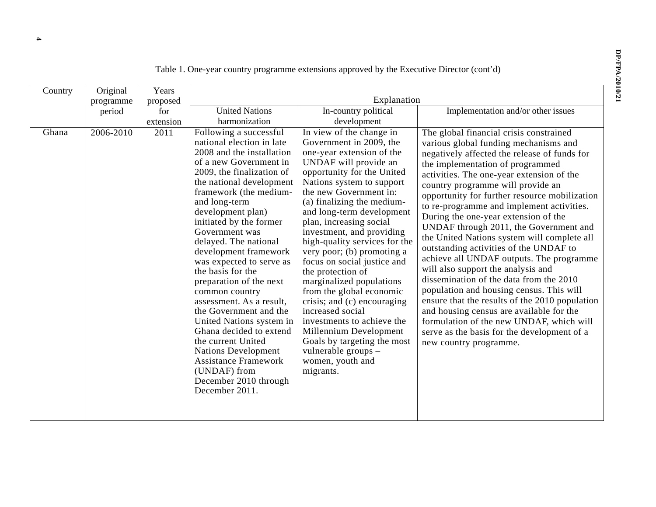| Country<br>Ghana | Original<br>programme<br>period<br>2006-2010 | Years<br>proposed<br>for<br>extension<br>2011 | <b>United Nations</b><br>harmonization<br>Following a successful<br>national election in late<br>2008 and the installation<br>of a new Government in<br>2009, the finalization of<br>the national development                                                                                                                                                                                                                                                                                                        | Explanation<br>In-country political<br>development<br>In view of the change in<br>Government in 2009, the<br>one-year extension of the<br>UNDAF will provide an<br>opportunity for the United<br>Nations system to support                                                                                                                                                                                                                                                                                             | Implementation and/or other issues<br>The global financial crisis constrained<br>various global funding mechanisms and<br>negatively affected the release of funds for<br>the implementation of programmed<br>activities. The one-year extension of the<br>country programme will provide an                                                                                                                                                                                                                                                                                                                                                                      |
|------------------|----------------------------------------------|-----------------------------------------------|----------------------------------------------------------------------------------------------------------------------------------------------------------------------------------------------------------------------------------------------------------------------------------------------------------------------------------------------------------------------------------------------------------------------------------------------------------------------------------------------------------------------|------------------------------------------------------------------------------------------------------------------------------------------------------------------------------------------------------------------------------------------------------------------------------------------------------------------------------------------------------------------------------------------------------------------------------------------------------------------------------------------------------------------------|-------------------------------------------------------------------------------------------------------------------------------------------------------------------------------------------------------------------------------------------------------------------------------------------------------------------------------------------------------------------------------------------------------------------------------------------------------------------------------------------------------------------------------------------------------------------------------------------------------------------------------------------------------------------|
|                  |                                              |                                               | framework (the medium-<br>and long-term<br>development plan)<br>initiated by the former<br>Government was<br>delayed. The national<br>development framework<br>was expected to serve as<br>the basis for the<br>preparation of the next<br>common country<br>assessment. As a result,<br>the Government and the<br>United Nations system in<br>Ghana decided to extend<br>the current United<br><b>Nations Development</b><br><b>Assistance Framework</b><br>(UNDAF) from<br>December 2010 through<br>December 2011. | the new Government in:<br>(a) finalizing the medium-<br>and long-term development<br>plan, increasing social<br>investment, and providing<br>high-quality services for the<br>very poor; (b) promoting a<br>focus on social justice and<br>the protection of<br>marginalized populations<br>from the global economic<br>crisis; and (c) encouraging<br>increased social<br>investments to achieve the<br>Millennium Development<br>Goals by targeting the most<br>vulnerable groups -<br>women, youth and<br>migrants. | opportunity for further resource mobilization<br>to re-programme and implement activities.<br>During the one-year extension of the<br>UNDAF through 2011, the Government and<br>the United Nations system will complete all<br>outstanding activities of the UNDAF to<br>achieve all UNDAF outputs. The programme<br>will also support the analysis and<br>dissemination of the data from the 2010<br>population and housing census. This will<br>ensure that the results of the 2010 population<br>and housing census are available for the<br>formulation of the new UNDAF, which will<br>serve as the basis for the development of a<br>new country programme. |

Table 1. One-year country programme extensions approved by the Executive Director (cont'd)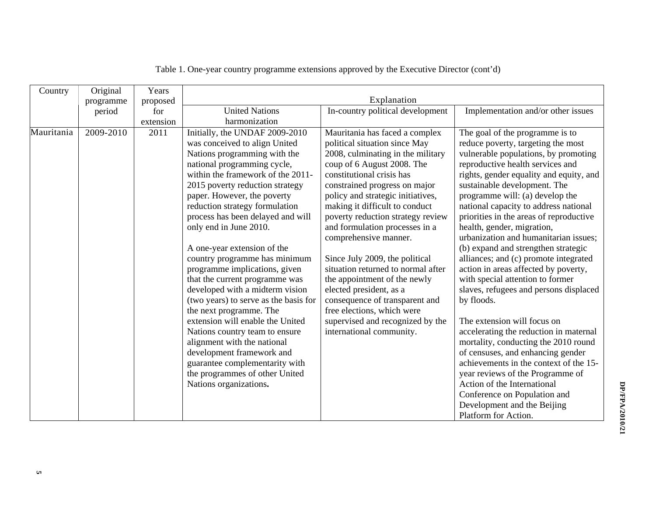| Country    | Original            | Years<br>proposed        | Explanation                                                                                                                                                                                                                                                                                                                                                                                                                                                                                                                                                                                                                                                                                                                                                                                                                                                |                                                                                                                                                                                                                                                                                                                                                                                                                                                                                                                                                                                                                                                                                |                                                                                                                                                                                                                                                                                                                                                                                                                                                                                                                                                                                                                                                                                                                                                                                                                                                                                                                                                                                                                        |
|------------|---------------------|--------------------------|------------------------------------------------------------------------------------------------------------------------------------------------------------------------------------------------------------------------------------------------------------------------------------------------------------------------------------------------------------------------------------------------------------------------------------------------------------------------------------------------------------------------------------------------------------------------------------------------------------------------------------------------------------------------------------------------------------------------------------------------------------------------------------------------------------------------------------------------------------|--------------------------------------------------------------------------------------------------------------------------------------------------------------------------------------------------------------------------------------------------------------------------------------------------------------------------------------------------------------------------------------------------------------------------------------------------------------------------------------------------------------------------------------------------------------------------------------------------------------------------------------------------------------------------------|------------------------------------------------------------------------------------------------------------------------------------------------------------------------------------------------------------------------------------------------------------------------------------------------------------------------------------------------------------------------------------------------------------------------------------------------------------------------------------------------------------------------------------------------------------------------------------------------------------------------------------------------------------------------------------------------------------------------------------------------------------------------------------------------------------------------------------------------------------------------------------------------------------------------------------------------------------------------------------------------------------------------|
|            | programme           |                          |                                                                                                                                                                                                                                                                                                                                                                                                                                                                                                                                                                                                                                                                                                                                                                                                                                                            |                                                                                                                                                                                                                                                                                                                                                                                                                                                                                                                                                                                                                                                                                |                                                                                                                                                                                                                                                                                                                                                                                                                                                                                                                                                                                                                                                                                                                                                                                                                                                                                                                                                                                                                        |
|            |                     |                          |                                                                                                                                                                                                                                                                                                                                                                                                                                                                                                                                                                                                                                                                                                                                                                                                                                                            |                                                                                                                                                                                                                                                                                                                                                                                                                                                                                                                                                                                                                                                                                |                                                                                                                                                                                                                                                                                                                                                                                                                                                                                                                                                                                                                                                                                                                                                                                                                                                                                                                                                                                                                        |
| Mauritania | period<br>2009-2010 | for<br>extension<br>2011 | <b>United Nations</b><br>harmonization<br>Initially, the UNDAF 2009-2010<br>was conceived to align United<br>Nations programming with the<br>national programming cycle,<br>within the framework of the 2011-<br>2015 poverty reduction strategy<br>paper. However, the poverty<br>reduction strategy formulation<br>process has been delayed and will<br>only end in June 2010.<br>A one-year extension of the<br>country programme has minimum<br>programme implications, given<br>that the current programme was<br>developed with a midterm vision<br>(two years) to serve as the basis for<br>the next programme. The<br>extension will enable the United<br>Nations country team to ensure<br>alignment with the national<br>development framework and<br>guarantee complementarity with<br>the programmes of other United<br>Nations organizations. | In-country political development<br>Mauritania has faced a complex<br>political situation since May<br>2008, culminating in the military<br>coup of 6 August 2008. The<br>constitutional crisis has<br>constrained progress on major<br>policy and strategic initiatives,<br>making it difficult to conduct<br>poverty reduction strategy review<br>and formulation processes in a<br>comprehensive manner.<br>Since July 2009, the political<br>situation returned to normal after<br>the appointment of the newly<br>elected president, as a<br>consequence of transparent and<br>free elections, which were<br>supervised and recognized by the<br>international community. | Implementation and/or other issues<br>The goal of the programme is to<br>reduce poverty, targeting the most<br>vulnerable populations, by promoting<br>reproductive health services and<br>rights, gender equality and equity, and<br>sustainable development. The<br>programme will: (a) develop the<br>national capacity to address national<br>priorities in the areas of reproductive<br>health, gender, migration,<br>urbanization and humanitarian issues;<br>(b) expand and strengthen strategic<br>alliances; and (c) promote integrated<br>action in areas affected by poverty,<br>with special attention to former<br>slaves, refugees and persons displaced<br>by floods.<br>The extension will focus on<br>accelerating the reduction in maternal<br>mortality, conducting the 2010 round<br>of censuses, and enhancing gender<br>achievements in the context of the 15-<br>year reviews of the Programme of<br>Action of the International<br>Conference on Population and<br>Development and the Beijing |
|            |                     |                          |                                                                                                                                                                                                                                                                                                                                                                                                                                                                                                                                                                                                                                                                                                                                                                                                                                                            |                                                                                                                                                                                                                                                                                                                                                                                                                                                                                                                                                                                                                                                                                | Platform for Action.                                                                                                                                                                                                                                                                                                                                                                                                                                                                                                                                                                                                                                                                                                                                                                                                                                                                                                                                                                                                   |

Table 1. One-year country programme extensions approved by the Executive Director (cont'd)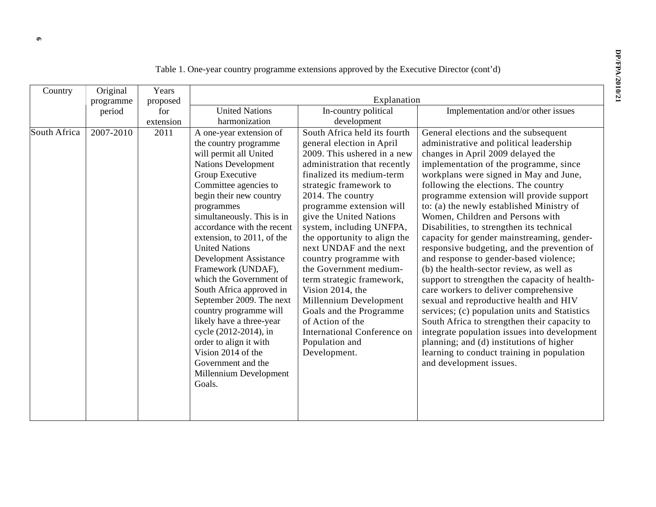| Country      | Original<br>programme | Years<br>proposed |                                                                                                                                                                                                                                                                                                                                                                                                                                                                                                                                                                                                                                                     | Explanation                                                                                                                                                                                                                                                                                                                                                                                                                                                                                                                                                                                              |                                                                                                                                                                                                                                                                                                                                                                                                                                                                                                                                                                                                                                                                                                                                                                                                                                                                                                                                                                                                                         |
|--------------|-----------------------|-------------------|-----------------------------------------------------------------------------------------------------------------------------------------------------------------------------------------------------------------------------------------------------------------------------------------------------------------------------------------------------------------------------------------------------------------------------------------------------------------------------------------------------------------------------------------------------------------------------------------------------------------------------------------------------|----------------------------------------------------------------------------------------------------------------------------------------------------------------------------------------------------------------------------------------------------------------------------------------------------------------------------------------------------------------------------------------------------------------------------------------------------------------------------------------------------------------------------------------------------------------------------------------------------------|-------------------------------------------------------------------------------------------------------------------------------------------------------------------------------------------------------------------------------------------------------------------------------------------------------------------------------------------------------------------------------------------------------------------------------------------------------------------------------------------------------------------------------------------------------------------------------------------------------------------------------------------------------------------------------------------------------------------------------------------------------------------------------------------------------------------------------------------------------------------------------------------------------------------------------------------------------------------------------------------------------------------------|
|              | period                | for<br>extension  | <b>United Nations</b><br>harmonization                                                                                                                                                                                                                                                                                                                                                                                                                                                                                                                                                                                                              | In-country political<br>development                                                                                                                                                                                                                                                                                                                                                                                                                                                                                                                                                                      | Implementation and/or other issues                                                                                                                                                                                                                                                                                                                                                                                                                                                                                                                                                                                                                                                                                                                                                                                                                                                                                                                                                                                      |
| South Africa | 2007-2010             | 2011              | A one-year extension of<br>the country programme<br>will permit all United<br><b>Nations Development</b><br>Group Executive<br>Committee agencies to<br>begin their new country<br>programmes<br>simultaneously. This is in<br>accordance with the recent<br>extension, to 2011, of the<br><b>United Nations</b><br><b>Development Assistance</b><br>Framework (UNDAF),<br>which the Government of<br>South Africa approved in<br>September 2009. The next<br>country programme will<br>likely have a three-year<br>cycle (2012-2014), in<br>order to align it with<br>Vision 2014 of the<br>Government and the<br>Millennium Development<br>Goals. | South Africa held its fourth<br>general election in April<br>2009. This ushered in a new<br>administration that recently<br>finalized its medium-term<br>strategic framework to<br>2014. The country<br>programme extension will<br>give the United Nations<br>system, including UNFPA,<br>the opportunity to align the<br>next UNDAF and the next<br>country programme with<br>the Government medium-<br>term strategic framework,<br>Vision 2014, the<br>Millennium Development<br>Goals and the Programme<br>of Action of the<br><b>International Conference on</b><br>Population and<br>Development. | General elections and the subsequent<br>administrative and political leadership<br>changes in April 2009 delayed the<br>implementation of the programme, since<br>workplans were signed in May and June,<br>following the elections. The country<br>programme extension will provide support<br>to: (a) the newly established Ministry of<br>Women, Children and Persons with<br>Disabilities, to strengthen its technical<br>capacity for gender mainstreaming, gender-<br>responsive budgeting, and the prevention of<br>and response to gender-based violence;<br>(b) the health-sector review, as well as<br>support to strengthen the capacity of health-<br>care workers to deliver comprehensive<br>sexual and reproductive health and HIV<br>services; (c) population units and Statistics<br>South Africa to strengthen their capacity to<br>integrate population issues into development<br>planning; and (d) institutions of higher<br>learning to conduct training in population<br>and development issues. |

Table 1. One-year country programme extensions approved by the Executive Director (cont'd)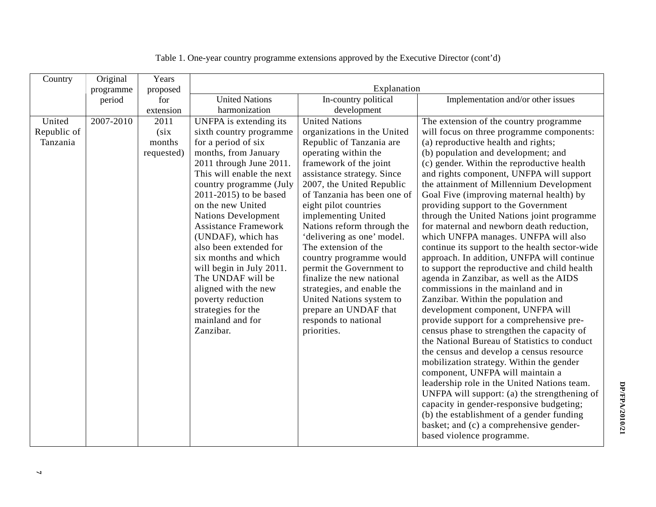| Country     | Original  | Years      |                                           |                                                        |                                                                               |
|-------------|-----------|------------|-------------------------------------------|--------------------------------------------------------|-------------------------------------------------------------------------------|
|             | programme | proposed   | Explanation                               |                                                        |                                                                               |
|             | period    | for        | <b>United Nations</b>                     | In-country political                                   | Implementation and/or other issues                                            |
|             |           | extension  | harmonization                             | development                                            |                                                                               |
| United      | 2007-2010 | 2011       | UNFPA is extending its                    | <b>United Nations</b>                                  | The extension of the country programme                                        |
| Republic of |           | (six)      | sixth country programme                   | organizations in the United                            | will focus on three programme components:                                     |
| Tanzania    |           | months     | for a period of six                       | Republic of Tanzania are                               | (a) reproductive health and rights;                                           |
|             |           | requested) | months, from January                      | operating within the                                   | (b) population and development; and                                           |
|             |           |            | 2011 through June 2011.                   | framework of the joint                                 | (c) gender. Within the reproductive health                                    |
|             |           |            | This will enable the next                 | assistance strategy. Since                             | and rights component, UNFPA will support                                      |
|             |           |            | country programme (July                   | 2007, the United Republic                              | the attainment of Millennium Development                                      |
|             |           |            | 2011-2015) to be based                    | of Tanzania has been one of                            | Goal Five (improving maternal health) by                                      |
|             |           |            | on the new United                         | eight pilot countries                                  | providing support to the Government                                           |
|             |           |            | <b>Nations Development</b>                | implementing United                                    | through the United Nations joint programme                                    |
|             |           |            | <b>Assistance Framework</b>               | Nations reform through the                             | for maternal and newborn death reduction,                                     |
|             |           |            | (UNDAF), which has                        | 'delivering as one' model.                             | which UNFPA manages. UNFPA will also                                          |
|             |           |            | also been extended for                    | The extension of the                                   | continue its support to the health sector-wide                                |
|             |           |            | six months and which                      | country programme would                                | approach. In addition, UNFPA will continue                                    |
|             |           |            | will begin in July 2011.                  | permit the Government to                               | to support the reproductive and child health                                  |
|             |           |            | The UNDAF will be                         | finalize the new national                              | agenda in Zanzibar, as well as the AIDS<br>commissions in the mainland and in |
|             |           |            | aligned with the new<br>poverty reduction | strategies, and enable the<br>United Nations system to | Zanzibar. Within the population and                                           |
|             |           |            | strategies for the                        | prepare an UNDAF that                                  | development component, UNFPA will                                             |
|             |           |            | mainland and for                          | responds to national                                   | provide support for a comprehensive pre-                                      |
|             |           |            | Zanzibar.                                 | priorities.                                            | census phase to strengthen the capacity of                                    |
|             |           |            |                                           |                                                        | the National Bureau of Statistics to conduct                                  |
|             |           |            |                                           |                                                        | the census and develop a census resource                                      |
|             |           |            |                                           |                                                        | mobilization strategy. Within the gender                                      |
|             |           |            |                                           |                                                        | component, UNFPA will maintain a                                              |
|             |           |            |                                           |                                                        | leadership role in the United Nations team.                                   |
|             |           |            |                                           |                                                        | UNFPA will support: (a) the strengthening of                                  |
|             |           |            |                                           |                                                        | capacity in gender-responsive budgeting;                                      |
|             |           |            |                                           |                                                        | (b) the establishment of a gender funding                                     |
|             |           |            |                                           |                                                        | basket; and (c) a comprehensive gender-                                       |
|             |           |            |                                           |                                                        | based violence programme.                                                     |
|             |           |            |                                           |                                                        |                                                                               |

|  | Table 1. One-year country programme extensions approved by the Executive Director (cont'd) |
|--|--------------------------------------------------------------------------------------------|
|--|--------------------------------------------------------------------------------------------|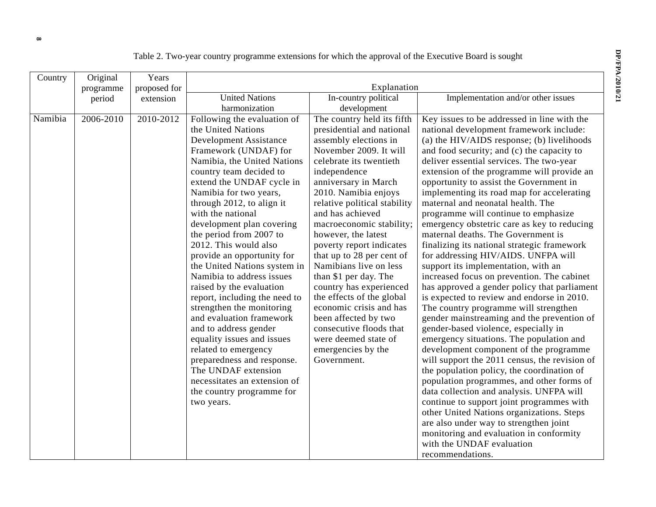|  | Table 2. Two-year country programme extensions for which the approval of the Executive Board is sought |  |  |
|--|--------------------------------------------------------------------------------------------------------|--|--|
|  |                                                                                                        |  |  |

| Country | Original  | Years        |                               |                              |                                               |  |
|---------|-----------|--------------|-------------------------------|------------------------------|-----------------------------------------------|--|
|         | programme | proposed for | Explanation                   |                              |                                               |  |
|         | period    | extension    | <b>United Nations</b>         | In-country political         | Implementation and/or other issues            |  |
|         |           |              | harmonization                 | development                  |                                               |  |
| Namibia | 2006-2010 | 2010-2012    | Following the evaluation of   | The country held its fifth   | Key issues to be addressed in line with the   |  |
|         |           |              | the United Nations            | presidential and national    | national development framework include:       |  |
|         |           |              | <b>Development Assistance</b> | assembly elections in        | (a) the HIV/AIDS response; (b) livelihoods    |  |
|         |           |              | Framework (UNDAF) for         | November 2009. It will       | and food security; and (c) the capacity to    |  |
|         |           |              | Namibia, the United Nations   | celebrate its twentieth      | deliver essential services. The two-year      |  |
|         |           |              | country team decided to       | independence                 | extension of the programme will provide an    |  |
|         |           |              | extend the UNDAF cycle in     | anniversary in March         | opportunity to assist the Government in       |  |
|         |           |              | Namibia for two years,        | 2010. Namibia enjoys         | implementing its road map for accelerating    |  |
|         |           |              | through 2012, to align it     | relative political stability | maternal and neonatal health. The             |  |
|         |           |              | with the national             | and has achieved             | programme will continue to emphasize          |  |
|         |           |              | development plan covering     | macroeconomic stability;     | emergency obstetric care as key to reducing   |  |
|         |           |              | the period from 2007 to       | however, the latest          | maternal deaths. The Government is            |  |
|         |           |              | 2012. This would also         | poverty report indicates     | finalizing its national strategic framework   |  |
|         |           |              | provide an opportunity for    | that up to 28 per cent of    | for addressing HIV/AIDS. UNFPA will           |  |
|         |           |              | the United Nations system in  | Namibians live on less       | support its implementation, with an           |  |
|         |           |              | Namibia to address issues     | than \$1 per day. The        | increased focus on prevention. The cabinet    |  |
|         |           |              | raised by the evaluation      | country has experienced      | has approved a gender policy that parliament  |  |
|         |           |              | report, including the need to | the effects of the global    | is expected to review and endorse in 2010.    |  |
|         |           |              | strengthen the monitoring     | economic crisis and has      | The country programme will strengthen         |  |
|         |           |              | and evaluation framework      | been affected by two         | gender mainstreaming and the prevention of    |  |
|         |           |              | and to address gender         | consecutive floods that      | gender-based violence, especially in          |  |
|         |           |              | equality issues and issues    | were deemed state of         | emergency situations. The population and      |  |
|         |           |              | related to emergency          | emergencies by the           | development component of the programme        |  |
|         |           |              | preparedness and response.    | Government.                  | will support the 2011 census, the revision of |  |
|         |           |              | The UNDAF extension           |                              | the population policy, the coordination of    |  |
|         |           |              | necessitates an extension of  |                              | population programmes, and other forms of     |  |
|         |           |              | the country programme for     |                              | data collection and analysis. UNFPA will      |  |
|         |           |              | two years.                    |                              | continue to support joint programmes with     |  |
|         |           |              |                               |                              | other United Nations organizations. Steps     |  |
|         |           |              |                               |                              | are also under way to strengthen joint        |  |
|         |           |              |                               |                              | monitoring and evaluation in conformity       |  |
|         |           |              |                               |                              | with the UNDAF evaluation                     |  |
|         |           |              |                               |                              | recommendations.                              |  |